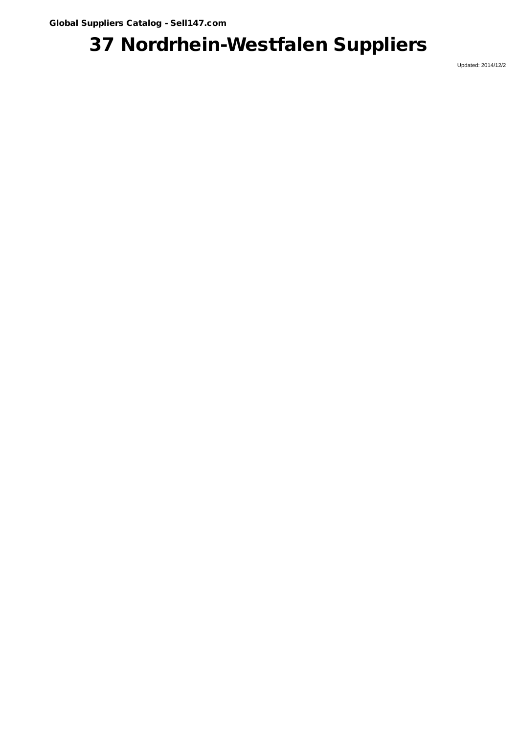## 37 Nordrhein-Westfalen Suppliers

Updated: 2014/12/2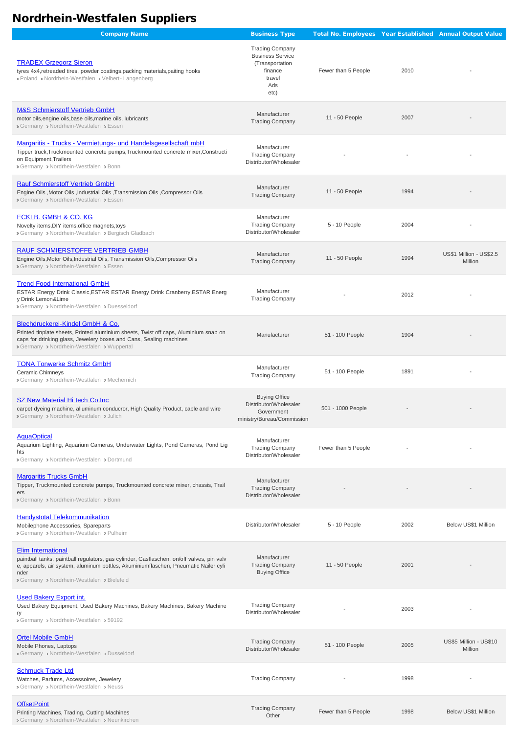## Nordrhein-Westfalen Suppliers

| <b>Company Name</b>                                                                                                                                                                                                                           | <b>Business Type</b>                                                                                     |                     |      | Total No. Employees Year Established Annual Output Value |
|-----------------------------------------------------------------------------------------------------------------------------------------------------------------------------------------------------------------------------------------------|----------------------------------------------------------------------------------------------------------|---------------------|------|----------------------------------------------------------|
| <b>TRADEX Grzegorz Sieron</b><br>tyres 4x4, retreaded tires, powder coatings, packing materials, paiting hooks<br>> Poland > Nordrhein-Westfalen > Velbert-Langenberg                                                                         | <b>Trading Company</b><br><b>Business Service</b><br>(Transportation<br>finance<br>travel<br>Ads<br>etc) | Fewer than 5 People | 2010 |                                                          |
| <b>M&amp;S Schmierstoff Vertrieb GmbH</b><br>motor oils, engine oils, base oils, marine oils, lubricants<br>> Germany > Nordrhein-Westfalen > Essen                                                                                           | Manufacturer<br><b>Trading Company</b>                                                                   | 11 - 50 People      | 2007 |                                                          |
| Margaritis - Trucks - Vermietungs- und Handelsgesellschaft mbH<br>Tipper truck, Truckmounted concrete pumps, Truckmounted concrete mixer, Constructi<br>on Equipment, Trailers<br>> Germany > Nordrhein-Westfalen > Bonn                      | Manufacturer<br><b>Trading Company</b><br>Distributor/Wholesaler                                         |                     |      |                                                          |
| <b>Rauf Schmierstoff Vertrieb GmbH</b><br>Engine Oils, Motor Oils, Industrial Oils, Transmission Oils, Compressor Oils<br>> Germany > Nordrhein-Westfalen > Essen                                                                             | Manufacturer<br><b>Trading Company</b>                                                                   | 11 - 50 People      | 1994 |                                                          |
| <b>ECKI B. GMBH &amp; CO. KG</b><br>Novelty items, DIY items, office magnets, toys<br>> Germany > Nordrhein-Westfalen > Bergisch Gladbach                                                                                                     | Manufacturer<br><b>Trading Company</b><br>Distributor/Wholesaler                                         | 5 - 10 People       | 2004 |                                                          |
| RAUF SCHMIERSTOFFE VERTRIEB GMBH<br>Engine Oils, Motor Oils, Industrial Oils, Transmission Oils, Compressor Oils<br>> Germany > Nordrhein-Westfalen > Essen                                                                                   | Manufacturer<br><b>Trading Company</b>                                                                   | 11 - 50 People      | 1994 | US\$1 Million - US\$2.5<br>Million                       |
| <b>Trend Food International GmbH</b><br>ESTAR Energy Drink Classic, ESTAR ESTAR Energy Drink Cranberry, ESTAR Energ<br>y Drink Lemon&Lime<br>> Germany > Nordrhein-Westfalen > Duesseldorf                                                    | Manufacturer<br><b>Trading Company</b>                                                                   |                     | 2012 |                                                          |
| Blechdruckerei-Kindel GmbH & Co.<br>Printed tinplate sheets, Printed aluminium sheets, Twist off caps, Aluminium snap on<br>caps for drinking glass, Jewelery boxes and Cans, Sealing machines<br>> Germany > Nordrhein-Westfalen > Wuppertal | Manufacturer                                                                                             | 51 - 100 People     | 1904 |                                                          |
| <b>TONA Tonwerke Schmitz GmbH</b><br>Ceramic Chimneys<br>> Germany > Nordrhein-Westfalen > Mechernich                                                                                                                                         | Manufacturer<br><b>Trading Company</b>                                                                   | 51 - 100 People     | 1891 |                                                          |
| <b>SZ New Material Hi tech Co.Inc</b><br>carpet dyeing machine, alluminum conducror, High Quality Product, cable and wire<br>> Germany > Nordrhein-Westfalen > Julich                                                                         | <b>Buying Office</b><br>Distributor/Wholesaler<br>Government<br>ministry/Bureau/Commission               | 501 - 1000 People   |      |                                                          |
| <b>AquaOptical</b><br>Aquarium Lighting, Aquarium Cameras, Underwater Lights, Pond Cameras, Pond Lig<br>hts<br>> Germany > Nordrhein-Westfalen > Dortmund                                                                                     | Manufacturer<br><b>Trading Company</b><br>Distributor/Wholesaler                                         | Fewer than 5 People |      |                                                          |
| <b>Margaritis Trucks GmbH</b><br>Tipper, Truckmounted concrete pumps, Truckmounted concrete mixer, chassis, Trail<br>ers<br>> Germany > Nordrhein-Westfalen > Bonn                                                                            | Manufacturer<br><b>Trading Company</b><br>Distributor/Wholesaler                                         |                     |      |                                                          |
| <b>Handystotal Telekommunikation</b><br>Mobilephone Accessories, Spareparts<br>> Germany > Nordrhein-Westfalen > Pulheim                                                                                                                      | Distributor/Wholesaler                                                                                   | 5 - 10 People       | 2002 | Below US\$1 Million                                      |

**[Elim International](http://www.sell147.com/company/Germany/1046269.htm)** 

| paintball tanks, paintball regulators, gas cylinder, Gasflaschen, on/off valves, pin valv<br>e, apparels, air system, aluminum bottles, Akuminiumflaschen, Pneumatic Nailer cyli<br>nder<br>> Germany > Nordrhein-Westfalen > Bielefeld | Manufacturer<br><b>Trading Company</b><br><b>Buying Office</b> | 11 - 50 People      | 2001 |                                   |
|-----------------------------------------------------------------------------------------------------------------------------------------------------------------------------------------------------------------------------------------|----------------------------------------------------------------|---------------------|------|-----------------------------------|
| <b>Used Bakery Export int.</b><br>Used Bakery Equipment, Used Bakery Machines, Bakery Machines, Bakery Machine<br>ry<br>> Germany > Nordrhein-Westfalen > 59192                                                                         | <b>Trading Company</b><br>Distributor/Wholesaler               |                     | 2003 |                                   |
| <b>Ortel Mobile GmbH</b><br>Mobile Phones, Laptops<br>> Germany > Nordrhein-Westfalen > Dusseldorf                                                                                                                                      | <b>Trading Company</b><br>Distributor/Wholesaler               | 51 - 100 People     | 2005 | US\$5 Million - US\$10<br>Million |
| <b>Schmuck Trade Ltd</b><br>Watches, Parfums, Accessoires, Jewelery<br>> Germany > Nordrhein-Westfalen > Neuss                                                                                                                          | <b>Trading Company</b>                                         |                     | 1998 |                                   |
| <b>OffsetPoint</b><br>Printing Machines, Trading, Cutting Machines<br>> Germany > Nordrhein-Westfalen > Neunkirchen                                                                                                                     | <b>Trading Company</b><br>Other                                | Fewer than 5 People | 1998 | Below US\$1 Million               |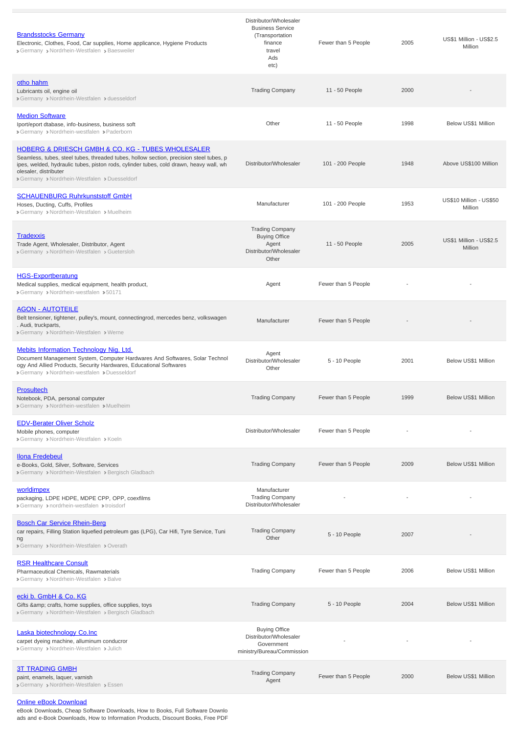| <b>Brandsstocks Germany</b><br>Electronic, Clothes, Food, Car supplies, Home applicance, Hygiene Products<br>> Germany > Nordrhein-Westfalen > Baesweiler                                                                                                                                                                      | Distributor/Wholesaler<br><b>Business Service</b><br>(Transportation<br>finance<br>travel<br>Ads<br>etc) | Fewer than 5 People | 2005 | US\$1 Million - US\$2.5<br>Million |
|--------------------------------------------------------------------------------------------------------------------------------------------------------------------------------------------------------------------------------------------------------------------------------------------------------------------------------|----------------------------------------------------------------------------------------------------------|---------------------|------|------------------------------------|
| otho hahm<br>Lubricants oil, engine oil<br>> Germany > Nordrhein-Westfalen > duesseldorf                                                                                                                                                                                                                                       | <b>Trading Company</b>                                                                                   | 11 - 50 People      | 2000 |                                    |
| <b>Medion Software</b><br>Iport/eport dtabase, info-business, business soft<br>> Germany > Nordrhein-westfalen > Paderborn                                                                                                                                                                                                     | Other                                                                                                    | 11 - 50 People      | 1998 | Below US\$1 Million                |
| <b>HOBERG &amp; DRIESCH GMBH &amp; CO. KG - TUBES WHOLESALER</b><br>Seamless, tubes, steel tubes, threaded tubes, hollow section, precision steel tubes, p<br>ipes, welded, hydraulic tubes, piston rods, cylinder tubes, cold drawn, heavy wall, wh<br>olesaler, distributer<br>> Germany > Nordrhein-Westfalen > Duesseldorf | Distributor/Wholesaler                                                                                   | 101 - 200 People    | 1948 | Above US\$100 Million              |
| <b>SCHAUENBURG Ruhrkunststoff GmbH</b><br>Hoses, Ducting, Cuffs, Profiles<br>> Germany > Nordrhein-Westfalen > Muelheim                                                                                                                                                                                                        | Manufacturer                                                                                             | 101 - 200 People    | 1953 | US\$10 Million - US\$50<br>Million |
| Tradexxis<br>Trade Agent, Wholesaler, Distributor, Agent<br>> Germany > Nordrhein-Westfalen > Guetersloh                                                                                                                                                                                                                       | <b>Trading Company</b><br><b>Buying Office</b><br>Agent<br>Distributor/Wholesaler<br>Other               | 11 - 50 People      | 2005 | US\$1 Million - US\$2.5<br>Million |
| <b>HGS-Exportberatung</b><br>Medical supplies, medical equipment, health product,<br>> Germany > Nordrhein-westfalen > 50171                                                                                                                                                                                                   | Agent                                                                                                    | Fewer than 5 People |      |                                    |
| <b>AGON - AUTOTEILE</b><br>Belt tensioner, tightener, pulley's, mount, connectingrod, mercedes benz, volkswagen<br>. Audi, truckparts,<br>> Germany > Nordrhein-Westfalen > Werne                                                                                                                                              | Manufacturer                                                                                             | Fewer than 5 People |      |                                    |
| <b>Mebits Information Technology Nig. Ltd.</b><br>Document Management System, Computer Hardwares And Softwares, Solar Technol<br>ogy And Allied Products, Security Hardwares, Educational Softwares<br>> Germany > Nordrhein-westfalen > Duesseldorf                                                                           | Agent<br>Distributor/Wholesaler<br>Other                                                                 | 5 - 10 People       | 2001 | Below US\$1 Million                |
| <b>Prosultech</b><br>Notebook, PDA, personal computer<br>> Germany > Nordrhein-westfalen > Muelheim                                                                                                                                                                                                                            | <b>Trading Company</b>                                                                                   | Fewer than 5 People | 1999 | Below US\$1 Million                |
| <b>EDV-Berater Oliver Scholz</b><br>Mobile phones, computer<br>> Germany > Nordrhein-Westfalen > Koeln                                                                                                                                                                                                                         | Distributor/Wholesaler                                                                                   | Fewer than 5 People |      |                                    |
| <b>Ilona Fredebeul</b><br>e-Books, Gold, Silver, Software, Services<br>> Germany > Nordrhein-Westfalen > Bergisch Gladbach                                                                                                                                                                                                     | <b>Trading Company</b>                                                                                   | Fewer than 5 People | 2009 | Below US\$1 Million                |
| worldimpex<br>packaging, LDPE HDPE, MDPE CPP, OPP, coexfilms<br>> Germany > nordrhein-westfalen > troisdorf                                                                                                                                                                                                                    | Manufacturer<br><b>Trading Company</b><br>Distributor/Wholesaler                                         |                     |      |                                    |
| <b>Bosch Car Service Rhein-Berg</b><br>car repairs, Filling Station liquefied petroleum gas (LPG), Car Hifi, Tyre Service, Tuni<br>ng                                                                                                                                                                                          | <b>Trading Company</b><br>Other                                                                          | 5 - 10 People       | 2007 |                                    |

Germany > Nordrhein-Westfalen > Overath

| <b>RSR Healthcare Consult</b><br>Pharmaceutical Chemicals, Rawmaterials<br>> Germany > Nordrhein-Westfalen > Balve                        | <b>Trading Company</b>                                                                     | Fewer than 5 People | 2006 | Below US\$1 Million |
|-------------------------------------------------------------------------------------------------------------------------------------------|--------------------------------------------------------------------------------------------|---------------------|------|---------------------|
| ecki b. GmbH & Co. KG<br>Gifts & amp; crafts, home supplies, office supplies, toys<br>> Germany > Nordrhein-Westfalen > Bergisch Gladbach | <b>Trading Company</b>                                                                     | 5 - 10 People       | 2004 | Below US\$1 Million |
| Laska biotechnology Co.Inc<br>carpet dyeing machine, alluminum conducror<br>> Germany > Nordrhein-Westfalen > Julich                      | <b>Buying Office</b><br>Distributor/Wholesaler<br>Government<br>ministry/Bureau/Commission |                     |      | ٠                   |
| <b>3T TRADING GMBH</b><br>paint, enamels, laquer, varnish<br>> Germany > Nordrhein-Westfalen > Essen                                      | <b>Trading Company</b><br>Agent                                                            | Fewer than 5 People | 2000 | Below US\$1 Million |

## [Online eBook Download](http://www.sell147.com/company/Germany/171147.htm)

eBook Downloads, Cheap Software Downloads, How to Books, Full Software Downlo ads and e-Book Downloads, How to Information Products, Discount Books, Free PDF